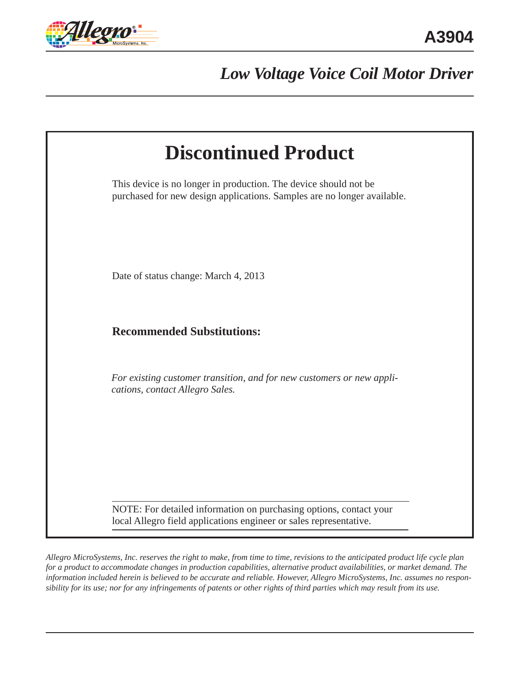

*Low Voltage Voice Coil Motor Driver*

| <b>Discontinued Product</b>                                                                                                                 |  |
|---------------------------------------------------------------------------------------------------------------------------------------------|--|
| This device is no longer in production. The device should not be<br>purchased for new design applications. Samples are no longer available. |  |
| Date of status change: March 4, 2013                                                                                                        |  |
| <b>Recommended Substitutions:</b>                                                                                                           |  |
| For existing customer transition, and for new customers or new appli-<br>cations, contact Allegro Sales.                                    |  |
| NOTE: For detailed information on purchasing options, contact your<br>local Allegro field applications engineer or sales representative.    |  |

*Allegro MicroSystems, Inc. reserves the right to make, from time to time, revisions to the anticipated product life cycle plan for a product to accommodate changes in production capabilities, alternative product availabilities, or market demand. The information included herein is believed to be accurate and reliable. However, Allegro MicroSystems, Inc. assumes no responsibility for its use; nor for any infringements of patents or other rights of third parties which may result from its use.*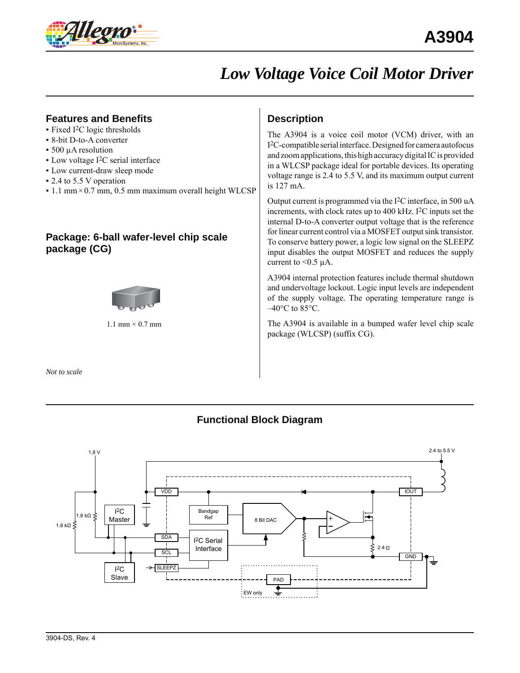

## *Low Voltage Voice Coil Motor Driver*

## **Features and Benefits**

- $\blacktriangleright$  Fixed I<sup>2</sup>C logic thresholds
- 8-bit D-to-A converter
- 500 μA resolution
- $\blacksquare$  Low voltage I<sup>2</sup>C serial interface
- Low current-draw sleep mode
- 2.4 to 5.5 V operation
- $\cdot$  1.1 mm × 0.7 mm, 0.5 mm maximum overall height WLCSP

## **Package: 6-ball wafer-level chip scale package (CG)**



1.1 mm  $\times$  0.7 mm

*Not to scale*

## **Description**

The A3904 is a voice coil motor (VCM) driver, with an I2C-compatible serial interface. Designed for camera autofocus and zoom applications, this high accuracy digital IC is provided in a WLCSP package ideal for portable devices. Its operating voltage range is 2.4 to 5.5 V, and its maximum output current is 127 mA.

Output current is programmed via the I2C interface, in 500 uA increments, with clock rates up to 400 kHz. I<sup>2</sup>C inputs set the internal D-to-A converter output voltage that is the reference for linear current control via a MOSFET output sink transistor. To conserve battery power, a logic low signal on the SLEEPZ input disables the output MOSFET and reduces the supply current to  $< 0.5 \mu A$ .

A3904 internal protection features include thermal shutdown and undervoltage lockout. Logic input levels are independent of the supply voltage. The operating temperature range is  $-40^{\circ}$ C to 85 $^{\circ}$ C.

The A3904 is available in a bumped wafer level chip scale package (WLCSP) (suffix CG).

## **Functional Block Diagram**

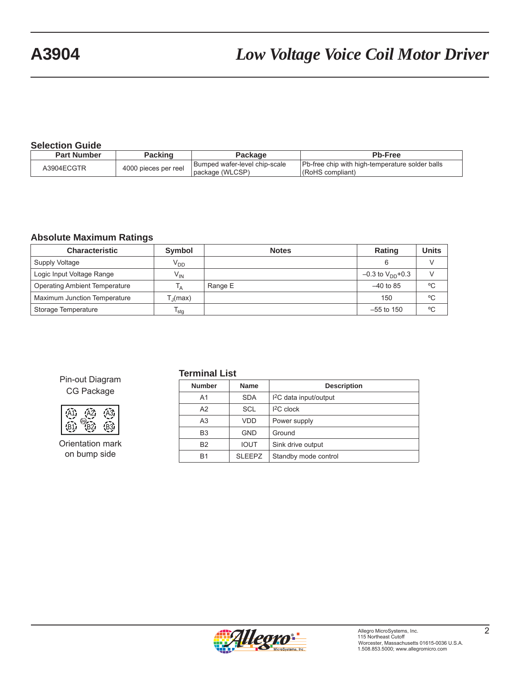# **A3904** *Low Voltage Voice Coil Motor Driver*

### **Selection Guide**

| <b>Part Number</b> | Packing              | Package                                           | <b>Pb-Free</b>                                                      |
|--------------------|----------------------|---------------------------------------------------|---------------------------------------------------------------------|
| A3904ECGTR         | 4000 pieces per reel | Bumped wafer-level chip-scale<br>Ipackage (WLCSP) | Pb-free chip with high-temperature solder balls<br>(RoHS compliant) |

### **Absolute Maximum Ratings**

| <b>Characteristic</b>                | Symbol                     | <b>Notes</b> | <b>Rating</b>           | Units |
|--------------------------------------|----------------------------|--------------|-------------------------|-------|
| Supply Voltage                       | $V_{DD}$                   |              | 6                       |       |
| Logic Input Voltage Range            | $\mathsf{V}_{\mathsf{IN}}$ |              | $-0.3$ to $V_{DD}$ +0.3 |       |
| <b>Operating Ambient Temperature</b> | ١д                         | Range E      | $-40$ to 85             | °C    |
| Maximum Junction Temperature         | $T_{\rm d}$ (max)          |              | 150                     | °C    |
| Storage Temperature                  | <sup>I</sup> stq           |              | $-55$ to 150            | °C    |

### CG Package Pin-out Diagram

| A2. | 2.  |
|-----|-----|
|     | ٠R٠ |

Orientation mark on bump side

#### **Terminal List**

| <b>Number</b>  | <b>Name</b>   | <b>Description</b>                 |  |  |  |
|----------------|---------------|------------------------------------|--|--|--|
| A1             | <b>SDA</b>    | 1 <sup>2</sup> C data input/output |  |  |  |
| A2             | <b>SCL</b>    | $IC$ clock                         |  |  |  |
| A <sub>3</sub> | <b>VDD</b>    | Power supply                       |  |  |  |
| B <sub>3</sub> | <b>GND</b>    | Ground                             |  |  |  |
| <b>B2</b>      | <b>IOUT</b>   | Sink drive output                  |  |  |  |
| <b>B1</b>      | <b>SLEEPZ</b> | Standby mode control               |  |  |  |
|                |               |                                    |  |  |  |

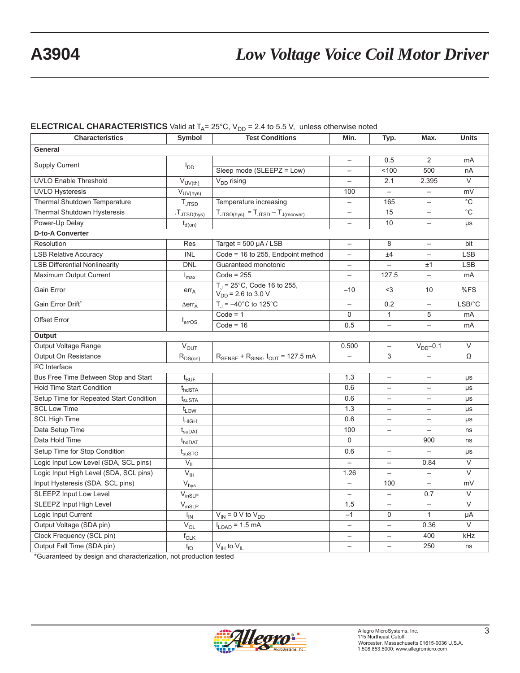# **A3904** *Low Voltage Voice Coil Motor Driver*

### **ELECTRICAL CHARACTERISTICS** Valid at  $T_A = 25^\circ$ C, V<sub>DD</sub> = 2.4 to 5.5 V, unless otherwise noted

| <b>Characteristics</b>                  | Symbol                               | <b>Test Conditions</b>                                               | Min.                     | Typ.                     | Max.                     | <b>Units</b>   |  |  |  |
|-----------------------------------------|--------------------------------------|----------------------------------------------------------------------|--------------------------|--------------------------|--------------------------|----------------|--|--|--|
| General                                 |                                      |                                                                      |                          |                          |                          |                |  |  |  |
| <b>Supply Current</b>                   | $I_{DD}$                             |                                                                      |                          | 0.5                      | $\overline{2}$           | mA             |  |  |  |
|                                         |                                      | Sleep mode (SLEEPZ = Low)                                            |                          | 100                      | 500                      | nA             |  |  |  |
| <b>UVLO Enable Threshold</b>            | $V_{UV(th)}$                         | $V_{DD}$ rising                                                      |                          | 2.1                      | 2.395                    | $\vee$         |  |  |  |
| <b>UVLO Hysteresis</b>                  | $V_{UV(hys)}$                        |                                                                      | 100                      |                          |                          | mV             |  |  |  |
| Thermal Shutdown Temperature            | $T_{\text{JTSD}}$                    | Temperature increasing                                               | $\overline{\phantom{0}}$ | 165                      | $\overline{\phantom{0}}$ | $\overline{C}$ |  |  |  |
| Thermal Shutdown Hysteresis             | $T_{JTSD(hys)}$                      | $T_{\text{JTSD(hys)}} = T_{\text{JTSD}} - T_{\text{J(recover)}}$     | $\overline{\phantom{0}}$ | 15                       |                          | $\overline{C}$ |  |  |  |
| Power-Up Delay                          | $t_{d(0n)}$                          |                                                                      | $\overline{\phantom{0}}$ | 10                       | $\overline{\phantom{0}}$ | μs             |  |  |  |
| <b>D-to-A Converter</b>                 |                                      |                                                                      |                          |                          |                          |                |  |  |  |
| Resolution                              | Res                                  | Target = $500 \mu A / LSB$                                           | $\overline{\phantom{0}}$ | 8                        | $\overline{\phantom{0}}$ | bit            |  |  |  |
| <b>LSB Relative Accuracy</b>            | <b>INL</b>                           | Code = 16 to 255, Endpoint method                                    |                          | ±4                       |                          | <b>LSB</b>     |  |  |  |
| <b>LSB Differential Nonlinearity</b>    | <b>DNL</b>                           | Guaranteed monotonic                                                 |                          |                          | ±1                       | <b>LSB</b>     |  |  |  |
| Maximum Output Current                  | $I_{\text{max}}$                     | $Code = 255$                                                         | $\overline{\phantom{0}}$ | 127.5                    | $\overline{\phantom{0}}$ | mA             |  |  |  |
| Gain Error                              | $err_A$                              | $T_J = 25^{\circ}C$ , Code 16 to 255,<br>$V_{DD}$ = 2.6 to 3.0 V     | $-10$                    | $3$                      | 10                       | %FS            |  |  |  |
| Gain Error Drift*                       | $\Delta$ err <sub>A</sub>            | $T_{\rm J} = -40^{\circ}$ C to 125°C                                 |                          | 0.2                      |                          | LSB/°C         |  |  |  |
| Offset Error                            | I <sub>erros</sub>                   | $Code = 1$                                                           | $\Omega$                 | $\mathbf{1}$             | 5                        | mA             |  |  |  |
|                                         |                                      | $Code = 16$                                                          | 0.5                      | $\qquad \qquad -$        | $\overline{\phantom{0}}$ | mA             |  |  |  |
| Output                                  |                                      |                                                                      |                          |                          |                          |                |  |  |  |
| Output Voltage Range                    | $\bar{V}_{OUT}$                      |                                                                      | 0.500                    | $\qquad \qquad -$        | $V_{DD}$ -0.1            | $\vee$         |  |  |  |
| Output On Resistance                    | $R_{DS(0n)}$                         | $R_{\text{SENSE}}$ + $R_{\text{SINK}}$ , $I_{\text{OUT}}$ = 127.5 mA |                          | 3                        |                          | Ω              |  |  |  |
| <sup>2</sup> C Interface                |                                      |                                                                      |                          |                          |                          |                |  |  |  |
| Bus Free Time Between Stop and Start    | $t_{\mathsf{BUF}}$                   |                                                                      | 1.3                      | $\qquad \qquad -$        |                          | μs             |  |  |  |
| <b>Hold Time Start Condition</b>        | $t_{h\text{dSTA}}$                   |                                                                      | 0.6                      | $\overline{\phantom{0}}$ | $\overline{\phantom{0}}$ | μs             |  |  |  |
| Setup Time for Repeated Start Condition | $t_{\scriptscriptstyle\text{SUSTA}}$ |                                                                      | 0.6                      |                          | $\overline{\phantom{0}}$ | μs             |  |  |  |
| <b>SCL Low Time</b>                     | $t_{LOW}$                            |                                                                      | 1.3                      |                          | $\overline{\phantom{0}}$ | μs             |  |  |  |
| <b>SCL High Time</b>                    | $t_{\text{HIGH}}$                    |                                                                      | 0.6                      | $\qquad \qquad -$        | $\overline{\phantom{0}}$ | μs             |  |  |  |
| Data Setup Time                         | $\rm t_{\rm suDAT}$                  |                                                                      | 100                      |                          | $\overline{\phantom{0}}$ | ns             |  |  |  |
| Data Hold Time                          | $t_{h\text{d}$ DAT                   |                                                                      | $\mathbf{0}$             |                          | 900                      | ns             |  |  |  |
| Setup Time for Stop Condition           | $\rm t_{susTO}$                      |                                                                      | 0.6                      | $\qquad \qquad -$        |                          | $\mu\text{s}$  |  |  |  |
| Logic Input Low Level (SDA, SCL pins)   | $V_{IL}$                             |                                                                      |                          | $\qquad \qquad -$        | 0.84                     | $\vee$         |  |  |  |
| Logic Input High Level (SDA, SCL pins)  | $V_{\text{IH}}$                      |                                                                      | 1.26                     | $\overline{\phantom{0}}$ | $\overline{\phantom{0}}$ | $\vee$         |  |  |  |
| Input Hysteresis (SDA, SCL pins)        | $\overline{V}_{\text{hys}}$          |                                                                      | $\overline{\phantom{0}}$ | 100                      | $\qquad \qquad -$        | mV             |  |  |  |
| <b>SLEEPZ Input Low Level</b>           | $V_{insLP}$                          |                                                                      | $\overline{\phantom{0}}$ | $\overline{\phantom{0}}$ | 0.7                      | $\vee$         |  |  |  |
| SLEEPZ Input High Level                 | $V_{insLP}$                          |                                                                      | 1.5                      |                          | $\overline{\phantom{0}}$ | $\vee$         |  |  |  |
| Logic Input Current                     | <sub>IN</sub>                        | $V_{IN}$ = 0 V to $V_{DD}$                                           | $-1$                     | $\mathbf 0$              | $\mathbf{1}$             | $\mu A$        |  |  |  |
| Output Voltage (SDA pin)                | $V_{OL}$                             | $I_{LOAD}$ = 1.5 mA                                                  | $\overline{\phantom{0}}$ | $\overline{\phantom{0}}$ | 0.36                     | $\vee$         |  |  |  |
| Clock Frequency (SCL pin)               | $f_{CLK}$                            |                                                                      | $\overline{\phantom{0}}$ |                          | 400                      | kHz            |  |  |  |
| Output Fall Time (SDA pin)              | $t_{fO}$                             | $V_{\text{IH}}$ to $V_{\text{IL}}$                                   | $\overline{\phantom{0}}$ | $\overline{\phantom{0}}$ | 250                      | ns             |  |  |  |

\*Guaranteed by design and characterization, not production tested

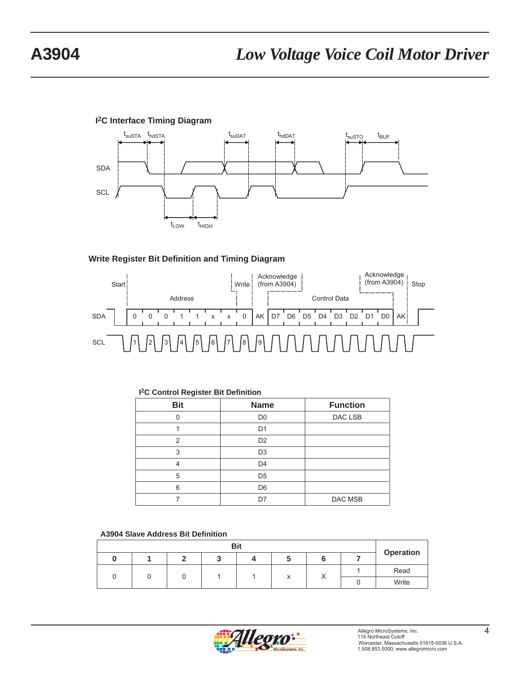## **I2C Interface Timing Diagram**



### **Write Register Bit Definition and Timing Diagram**



| <b>Bit</b>     | <b>Name</b>    | <b>Function</b> |
|----------------|----------------|-----------------|
| n              | D <sub>0</sub> | DAC LSB         |
|                | D <sub>1</sub> |                 |
| $\overline{2}$ | D <sub>2</sub> |                 |
| 3              | D <sub>3</sub> |                 |
| 4              | D <sub>4</sub> |                 |
| 5              | D <sub>5</sub> |                 |
| 6              | D <sub>6</sub> |                 |
|                | D7             | DAC MSB         |

#### **I2C Control Register Bit Definition**

|  |  |  |  | <b>A3904 Slave Address Bit Definition</b> |
|--|--|--|--|-------------------------------------------|
|--|--|--|--|-------------------------------------------|

| <b>Bit</b> |  |  |  |  |   |           |  |           |      |
|------------|--|--|--|--|---|-----------|--|-----------|------|
|            |  |  |  |  |   |           |  | Operation |      |
|            |  |  |  |  |   | $\lambda$ |  |           | Read |
|            |  |  |  |  | Λ | $\lambda$ |  | Write     |      |

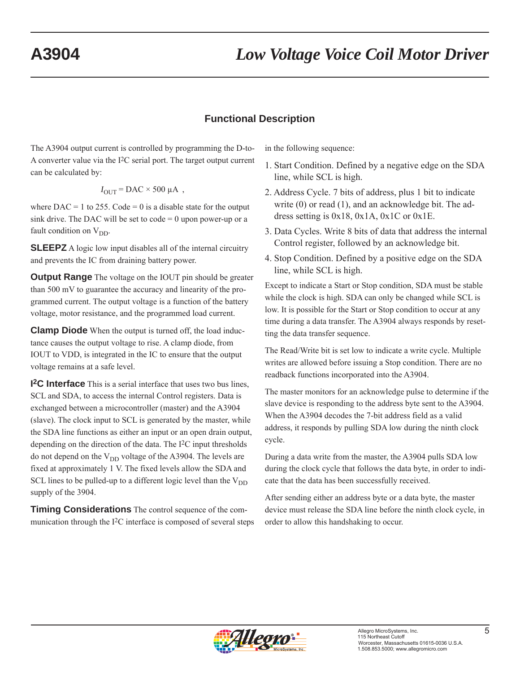## **Functional Description**

The A3904 output current is controlled by programming the D-to-A converter value via the I2C serial port. The target output current can be calculated by:

$$
I_{\text{OUT}} = \text{DAC} \times 500 \text{ }\mu\text{A} ,
$$

where  $DAC = 1$  to 255.  $Code = 0$  is a disable state for the output sink drive. The DAC will be set to code  $= 0$  upon power-up or a fault condition on  $V_{DD}$ .

**SLEEPZ** A logic low input disables all of the internal circuitry and prevents the IC from draining battery power.

**Output Range** The voltage on the IOUT pin should be greater than 500 mV to guarantee the accuracy and linearity of the programmed current. The output voltage is a function of the battery voltage, motor resistance, and the programmed load current.

**Clamp Diode** When the output is turned off, the load inductance causes the output voltage to rise. A clamp diode, from IOUT to VDD, is integrated in the IC to ensure that the output voltage remains at a safe level.

**I2C Interface** This is a serial interface that uses two bus lines, SCL and SDA, to access the internal Control registers. Data is exchanged between a microcontroller (master) and the A3904 (slave). The clock input to SCL is generated by the master, while the SDA line functions as either an input or an open drain output, depending on the direction of the data. The I2C input thresholds do not depend on the  $V_{DD}$  voltage of the A3904. The levels are fixed at approximately 1 V. The fixed levels allow the SDA and SCL lines to be pulled-up to a different logic level than the  $V_{DD}$ supply of the 3904.

**Timing Considerations** The control sequence of the communication through the I2C interface is composed of several steps in the following sequence:

- 1. Start Condition. Defined by a negative edge on the SDA line, while SCL is high.
- 2. Address Cycle. 7 bits of address, plus 1 bit to indicate write (0) or read (1), and an acknowledge bit. The address setting is  $0x18$ ,  $0x1A$ ,  $0x1C$  or  $0x1E$ .
- 3. Data Cycles. Write 8 bits of data that address the internal Control register, followed by an acknowledge bit.
- 4. Stop Condition. Defined by a positive edge on the SDA line, while SCL is high.

Except to indicate a Start or Stop condition, SDA must be stable while the clock is high. SDA can only be changed while SCL is low. It is possible for the Start or Stop condition to occur at any time during a data transfer. The A3904 always responds by resetting the data transfer sequence.

The Read/Write bit is set low to indicate a write cycle. Multiple writes are allowed before issuing a Stop condition. There are no readback functions incorporated into the A3904.

The master monitors for an acknowledge pulse to determine if the slave device is responding to the address byte sent to the A3904. When the A3904 decodes the 7-bit address field as a valid address, it responds by pulling SDA low during the ninth clock cycle.

During a data write from the master, the A3904 pulls SDA low during the clock cycle that follows the data byte, in order to indicate that the data has been successfully received.

After sending either an address byte or a data byte, the master device must release the SDA line before the ninth clock cycle, in order to allow this handshaking to occur.

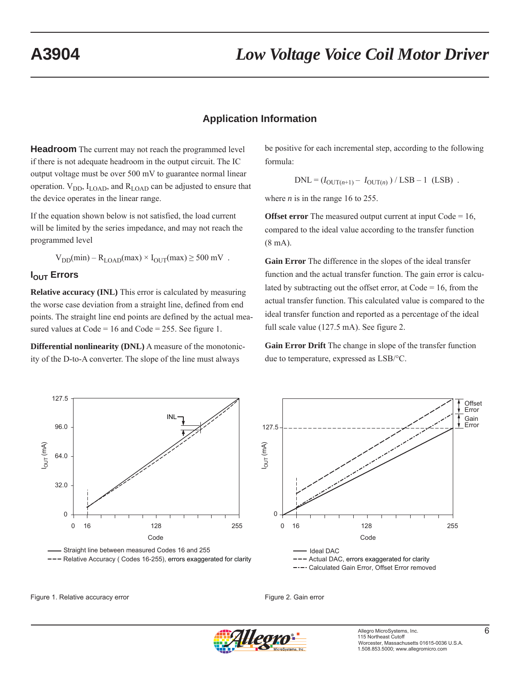## **Application Information**

**Headroom** The current may not reach the programmed level if there is not adequate headroom in the output circuit. The IC output voltage must be over 500 mV to guarantee normal linear operation.  $V_{DD}$ ,  $I_{LOAD}$ , and  $R_{LOAD}$  can be adjusted to ensure that the device operates in the linear range.

If the equation shown below is not satisfied, the load current will be limited by the series impedance, and may not reach the programmed level

 $V_{DD}(min) - R_{LOAD}(max) \times I_{OUT}(max) \ge 500$  mV.

### **I<sub>OUT</sub>** Errors

**Relative accuracy (INL)** This error is calculated by measuring the worse case deviation from a straight line, defined from end points. The straight line end points are defined by the actual measured values at  $Code = 16$  and  $Code = 255$ . See figure 1.

**Differential nonlinearity (DNL)** A measure of the monotonicity of the D-to-A converter. The slope of the line must always

be positive for each incremental step, according to the following formula:

$$
DNL = (I_{OUT(n+1)} - I_{OUT(n)}) / LSB - 1 (LSB) .
$$

where  $n$  is in the range 16 to 255.

**Offset error** The measured output current at input Code = 16, compared to the ideal value according to the transfer function (8 mA).

**Gain Error** The difference in the slopes of the ideal transfer function and the actual transfer function. The gain error is calculated by subtracting out the offset error, at  $Code = 16$ , from the actual transfer function. This calculated value is compared to the ideal transfer function and reported as a percentage of the ideal full scale value (127.5 mA). See figure 2.

**Gain Error Drift** The change in slope of the transfer function due to temperature, expressed as LSB/°C.









Figure 1. Relative accuracy error example and the set of the Figure 2. Gain error